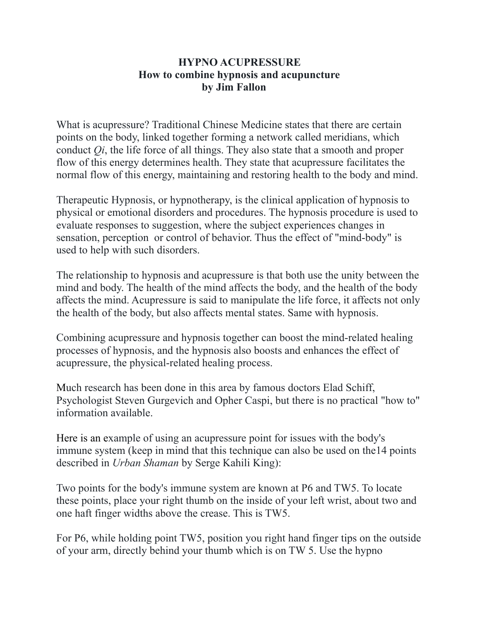## **HYPNO ACUPRESSURE How to combine hypnosis and acupuncture by Jim Fallon**

What is acupressure? Traditional Chinese Medicine states that there are certain points on the body, linked together forming a network called meridians, which conduct *Qi*, the life force of all things. They also state that a smooth and proper flow of this energy determines health. They state that acupressure facilitates the normal flow of this energy, maintaining and restoring health to the body and mind.

Therapeutic Hypnosis, or hypnotherapy, is the clinical application of hypnosis to physical or emotional disorders and procedures. The hypnosis procedure is used to evaluate responses to suggestion, where the subject experiences changes in sensation, perception or control of behavior. Thus the effect of "mind-body" is used to help with such disorders.

The relationship to hypnosis and acupressure is that both use the unity between the mind and body. The health of the mind affects the body, and the health of the body affects the mind. Acupressure is said to manipulate the life force, it affects not only the health of the body, but also affects mental states. Same with hypnosis.

Combining acupressure and hypnosis together can boost the mind-related healing processes of hypnosis, and the hypnosis also boosts and enhances the effect of acupressure, the physical-related healing process.

Much research has been done in this area by famous doctors Elad Schiff, Psychologist Steven Gurgevich and Opher Caspi, but there is no practical "how to" information available.

Here is an example of using an acupressure point for issues with the body's immune system (keep in mind that this technique can also be used on the14 points described in *Urban Shaman* by Serge Kahili King):

Two points for the body's immune system are known at P6 and TW5. To locate these points, place your right thumb on the inside of your left wrist, about two and one haft finger widths above the crease. This is TW5.

For P6, while holding point TW5, position you right hand finger tips on the outside of your arm, directly behind your thumb which is on TW 5. Use the hypno